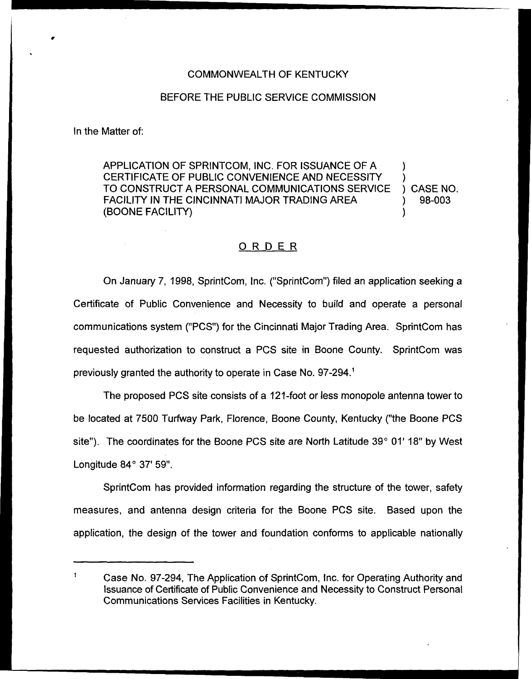## COMMONWEALTH OF KENTUCKY

## BEFORE THE PUBLIC SERVICE COMMISSION

In the Matter of:

APPLICATION OF SPRINTCOM, INC. FOR ISSUANCE OF A ) CERTIFICATE OF PUBLIC CONVENIENCE AND NECESSITY (3) CASE NO.<br>TO CONSTRUCT A PERSONAL COMMUNICATIONS SERVICE (3) CASE NO. TO CONSTRUCT A PERSONAL COMMUNICATIONS SERVICE ) CASE NO.<br>FACILITY IN THE CINCINNATI MAJOR TRADING AREA  $\qquad \qquad$  ) 98-003 FACILITY IN THE CINCINNATI MAJOR TRADING AREA (BOONE FACILITY) )

## ORDER

On January 7, 1998, SprintCom, Inc. ("SprintCom"} filed an application seeking a Certificate of Public Convenience and Necessity to build and operate a personal communications system ("PCS") for the Cincinnati Major Trading Area. SprintCom has requested authorization to construct a PCS site in Boone County. SprintCom was previously granted the authority to operate in Case No.

The proposed PCS site consists of a 121-foot or less monopole antenna tower to be located at 7500 Turfway Park, Florence, Boone County, Kentucky ("the Boone PCS site"). The coordinates for the Boone PCS site are North Latitude  $39^{\circ}$  01' 18" by West Longitude  $84^{\circ}$  37' 59".

SprintCom has provided information regarding the structure of the tower, safety measures, and antenna design criteria for the Boone PCS site. Based upon the application, the design of the tower and foundation conforms to applicable nationally

Case No. 97-294, The Application of SprintCom, Inc. for Operating Authority and Issuance of Certificate of Public Convenience and Necessity to Construct Personal Communications Services Facilities in Kentucky.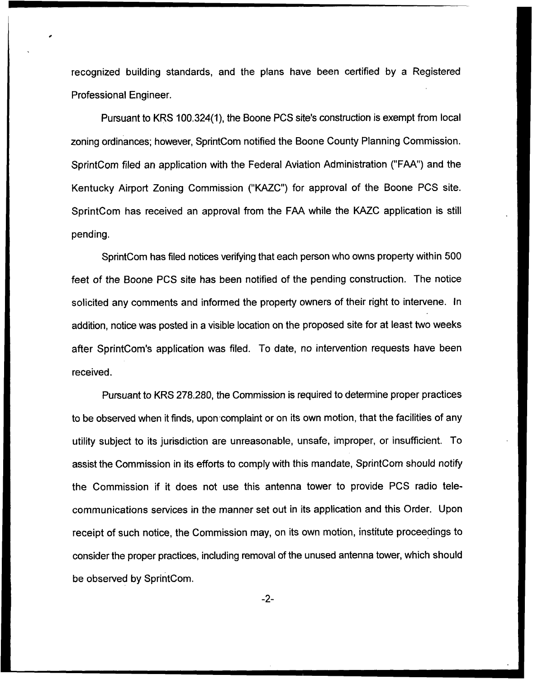recognized building standards, and the plans have been certified by a Registered Professional Engineer.

Pursuant to KRS 100.324(1), the Boone PCS site's construction is exempt from local zoning ordinances; however, SprintCom notified the Boone County Planning Commission. SprintCom filed an application with the Federal Aviation Administration ("FAA") and the Kentucky Airport Zoning Commission ("KAZC") for approval of the Boone PCS site. SprintCom has received an approval from the FAA while the KAZC application is still pending.

SprintCom has filed notices verifying that each person who owns property within 500 feet of the Boone PCS site has been notified of the pending construction. The notice solicited any comments and informed the property owners of their right to intervene. In addition, notice was posted in a visible location on the proposed site for at least two weeks after SprintCom's application was filed. To date, no intervention requests have been received.

Pursuant to KRS 278.280, the Commission is required to determine proper practices to be observed when it finds, upon complaint or on its own motion, that the facilities of any utility subject to its jurisdiction are unreasonable, unsafe, improper, or insufficient. To assist the Commission in its efforts to comply with this mandate, SprintCom should notify the Commission if it does not use this antenna tower to provide PCS radio telecommunications services in the manner set out in its application and this Order. Upon receipt of such notice, the Commission may, on its own motion, institute proceedings to consider the proper practices, including removal of the unused antenna tower, which should be observed by SprintCom.

 $-2-$